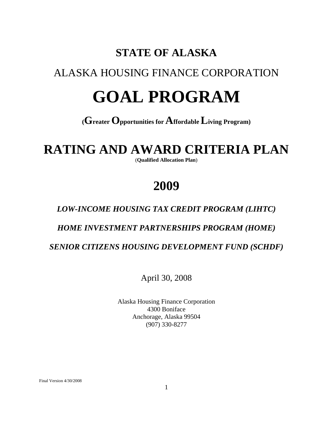# **STATE OF ALASKA**

# ALASKA HOUSING FINANCE CORPORATION

# **GOAL PROGRAM**

# **(Greater Opportunities for Affordable Living Program)**

# **RATING AND AWARD CRITERIA PLAN**

(**Qualified Allocation Plan**)

# **2009**

# *LOW-INCOME HOUSING TAX CREDIT PROGRAM (LIHTC)*

# *HOME INVESTMENT PARTNERSHIPS PROGRAM (HOME)*

 *SENIOR CITIZENS HOUSING DEVELOPMENT FUND (SCHDF)*

April 30, 2008

Alaska Housing Finance Corporation 4300 Boniface Anchorage, Alaska 99504 (907) 330-8277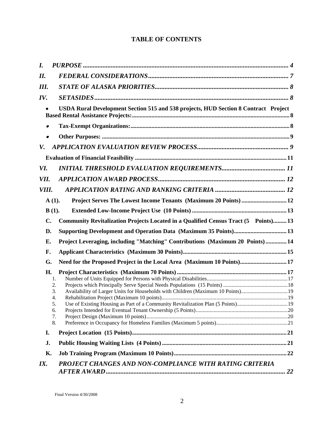# **TABLE OF CONTENTS**

| IX.                                                       | PROJECT CHANGES AND NON-COMPLIANCE WITH RATING CRITERIA                                                                                                                                                                                      |  |
|-----------------------------------------------------------|----------------------------------------------------------------------------------------------------------------------------------------------------------------------------------------------------------------------------------------------|--|
| Κ.                                                        |                                                                                                                                                                                                                                              |  |
| J.                                                        |                                                                                                                                                                                                                                              |  |
| I.                                                        |                                                                                                                                                                                                                                              |  |
| G.<br>Н.<br>1.<br>2.<br>3.<br>4.<br>.5.<br>6.<br>7.<br>8. | Need for the Proposed Project in the Local Area (Maximum 10 Points) 17<br>Availability of Larger Units for Households with Children (Maximum 10 Points)19<br>Use of Existing Housing as Part of a Community Revitalization Plan (5 Points)19 |  |
| F.                                                        |                                                                                                                                                                                                                                              |  |
| Е.                                                        | Project Leveraging, including "Matching" Contributions (Maximum 20 Points)  14                                                                                                                                                               |  |
| D.                                                        |                                                                                                                                                                                                                                              |  |
| C.                                                        | Community Revitalization Projects Located in a Qualified Census Tract (5 Points) 13                                                                                                                                                          |  |
| $B(1)$ .                                                  |                                                                                                                                                                                                                                              |  |
| $A(1)$ .                                                  | Project Serves The Lowest Income Tenants (Maximum 20 Points)  12                                                                                                                                                                             |  |
| VIII.                                                     |                                                                                                                                                                                                                                              |  |
| VII.                                                      |                                                                                                                                                                                                                                              |  |
| VI.                                                       |                                                                                                                                                                                                                                              |  |
|                                                           |                                                                                                                                                                                                                                              |  |
| V.                                                        |                                                                                                                                                                                                                                              |  |
|                                                           |                                                                                                                                                                                                                                              |  |
|                                                           |                                                                                                                                                                                                                                              |  |
|                                                           | USDA Rural Development Section 515 and 538 projects, HUD Section 8 Contract Project                                                                                                                                                          |  |
| IV.                                                       |                                                                                                                                                                                                                                              |  |
| III.                                                      |                                                                                                                                                                                                                                              |  |
| II.                                                       |                                                                                                                                                                                                                                              |  |
| $\bm{I}$ .                                                |                                                                                                                                                                                                                                              |  |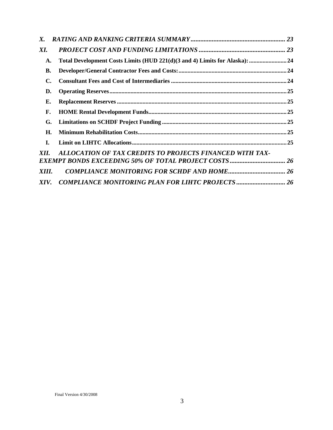| X.    |                                                                             |  |
|-------|-----------------------------------------------------------------------------|--|
| XI.   |                                                                             |  |
| A.    | Total Development Costs Limits (HUD 221(d)(3 and 4) Limits for Alaska):  24 |  |
| В.    |                                                                             |  |
| C.    |                                                                             |  |
| D.    |                                                                             |  |
| Е.    |                                                                             |  |
| F.    |                                                                             |  |
| G.    |                                                                             |  |
| Н.    |                                                                             |  |
| L.    |                                                                             |  |
| XII.  | ALLOCATION OF TAX CREDITS TO PROJECTS FINANCED WITH TAX-                    |  |
|       |                                                                             |  |
| XIII. |                                                                             |  |
| XIV.  | <b>COMPLIANCE MONITORING PLAN FOR LIHTC PROJECTS  26</b>                    |  |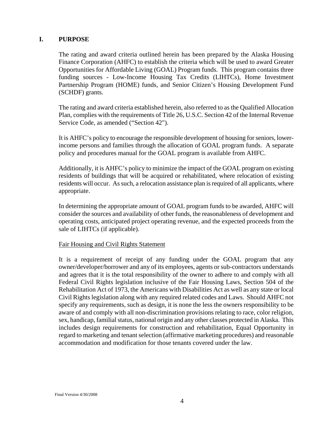#### <span id="page-3-0"></span>**I. PURPOSE**

The rating and award criteria outlined herein has been prepared by the Alaska Housing Finance Corporation (AHFC) to establish the criteria which will be used to award Greater Opportunities for Affordable Living (GOAL) Program funds. This program contains three funding sources - Low-Income Housing Tax Credits (LIHTCs), Home Investment Partnership Program (HOME) funds, and Senior Citizen's Housing Development Fund (SCHDF) grants.

The rating and award criteria established herein, also referred to as the Qualified Allocation Plan, complies with the requirements of Title 26, U.S.C. Section 42 of the Internal Revenue Service Code, as amended ("Section 42").

It is AHFC's policy to encourage the responsible development of housing for seniors, lowerincome persons and families through the allocation of GOAL program funds. A separate policy and procedures manual for the GOAL program is available from AHFC.

Additionally, it is AHFC's policy to minimize the impact of the GOAL program on existing residents of buildings that will be acquired or rehabilitated, where relocation of existing residents will occur. As such, a relocation assistance plan is required of all applicants, where appropriate.

In determining the appropriate amount of GOAL program funds to be awarded, AHFC will consider the sources and availability of other funds, the reasonableness of development and operating costs, anticipated project operating revenue, and the expected proceeds from the sale of LIHTCs (if applicable).

#### Fair Housing and Civil Rights Statement

It is a requirement of receipt of any funding under the GOAL program that any owner/developer/borrower and any of its employees, agents or sub-contractors understands and agrees that it is the total responsibility of the owner to adhere to and comply with all Federal Civil Rights legislation inclusive of the Fair Housing Laws, Section 504 of the Rehabilitation Act of 1973, the Americans with Disabilities Act as well as any state or local Civil Rights legislation along with any required related codes and Laws. Should AHFC not specify any requirements, such as design, it is none the less the owners responsibility to be aware of and comply with all non-discrimination provisions relating to race, color religion, sex, handicap, familial status, national origin and any other classes protected in Alaska. This includes design requirements for construction and rehabilitation, Equal Opportunity in regard to marketing and tenant selection (affirmative marketing procedures) and reasonable accommodation and modification for those tenants covered under the law.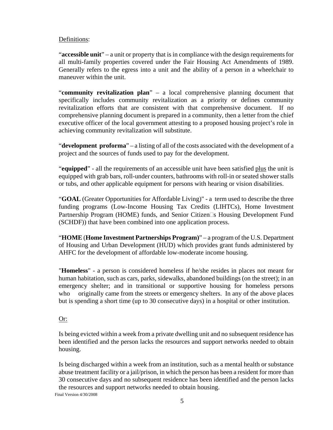#### Definitions:

"**accessible unit**" – a unit or property that is in compliance with the design requirements for all multi-family properties covered under the Fair Housing Act Amendments of 1989. Generally refers to the egress into a unit and the ability of a person in a wheelchair to maneuver within the unit.

"**community revitalization plan**" – a local comprehensive planning document that specifically includes community revitalization as a priority or defines community revitalization efforts that are consistent with that comprehensive document. If no comprehensive planning document is prepared in a community, then a letter from the chief executive officer of the local government attesting to a proposed housing project's role in achieving community revitalization will substitute.

"**development proforma**" – a listing of all of the costs associated with the development of a project and the sources of funds used to pay for the development.

"**equipped**" - all the requirements of an accessible unit have been satisfied plus the unit is equipped with grab bars, roll-under counters, bathrooms with roll-in or seated shower stalls or tubs, and other applicable equipment for persons with hearing or vision disabilities.

"**GOAL** (Greater Opportunities for Affordable Living)" - a term used to describe the three funding programs (Low-Income Housing Tax Credits (LIHTCs), Home Investment Partnership Program (HOME) funds, and Senior Citizen  $\Box s$  Housing Development Fund (SCHDF)) that have been combined into one application process.

"**HOME** (**Home Investment Partnerships Program)**" – a program of the U.S. Department of Housing and Urban Development (HUD) which provides grant funds administered by AHFC for the development of affordable low-moderate income housing.

"**Homeless**" - a person is considered homeless if he/she resides in places not meant for human habitation, such as cars, parks, sidewalks, abandoned buildings (on the street); in an emergency shelter; and in transitional or supportive housing for homeless persons who originally came from the streets or emergency shelters. In any of the above places but is spending a short time (up to 30 consecutive days) in a hospital or other institution.

# Or:

Is being evicted within a week from a private dwelling unit and no subsequent residence has been identified and the person lacks the resources and support networks needed to obtain housing.

Is being discharged within a week from an institution, such as a mental health or substance abuse treatment facility or a jail/prison, in which the person has been a resident for more than 30 consecutive days and no subsequent residence has been identified and the person lacks the resources and support networks needed to obtain housing.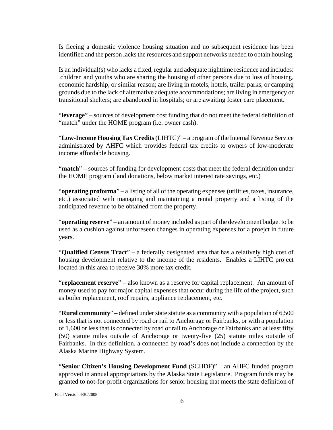Is fleeing a domestic violence housing situation and no subsequent residence has been identified and the person lacks the resources and support networks needed to obtain housing.

Is an individual(s) who lacks a fixed, regular and adequate nighttime residence and includes: children and youths who are sharing the housing of other persons due to loss of housing, economic hardship, or similar reason; are living in motels, hotels, trailer parks, or camping grounds due to the lack of alternative adequate accommodations; are living in emergency or transitional shelters; are abandoned in hospitals; or are awaiting foster care placement.

"**leverage**" – sources of development cost funding that do not meet the federal definition of "match" under the HOME program (i.e. owner cash).

"**Low-Income Housing Tax Credits** (LIHTC)" – a program of the Internal Revenue Service administrated by AHFC which provides federal tax credits to owners of low-moderate income affordable housing.

"**match**" – sources of funding for development costs that meet the federal definition under the HOME program (land donations, below market interest rate savings, etc.)

"**operating proforma**" – a listing of all of the operating expenses (utilities, taxes, insurance, etc.) associated with managing and maintaining a rental property and a listing of the anticipated revenue to be obtained from the property.

"**operating reserve**" – an amount of money included as part of the development budget to be used as a cushion against unforeseen changes in operating expenses for a proejct in future years.

"**Qualified Census Tract**" – a federally designated area that has a relatively high cost of housing development relative to the income of the residents. Enables a LIHTC project located in this area to receive 30% more tax credit.

"**replacement reserve**" – also known as a reserve for capital replacement. An amount of money used to pay for major capital expenses that occur during the life of the project, such as boiler replacement, roof repairs, appliance replacement, etc.

"**Rural community**" – defined under state statute as a community with a population of 6,500 or less that is not connected by road or rail to Anchorage or Fairbanks, or with a population of 1,600 or less that is connected by road or rail to Anchorage or Fairbanks and at least fifty (50) statute miles outside of Anchorage or twenty-five (25) statute miles outside of Fairbanks. In this definition, a connected by road's does not include a connection by the Alaska Marine Highway System.

"**Senior Citizen's Housing Development Fund** (SCHDF)" – an AHFC funded program approved in annual appropriations by the Alaska State Legislature. Program funds may be granted to not-for-profit organizations for senior housing that meets the state definition of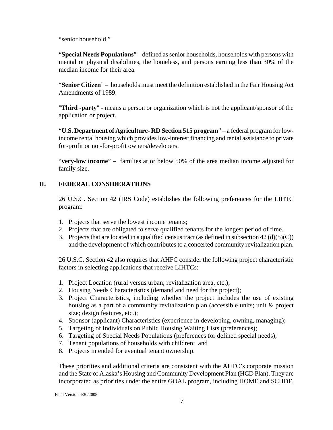<span id="page-6-0"></span>"senior household."

"**Special Needs Populations**" – defined as senior households, households with persons with mental or physical disabilities, the homeless, and persons earning less than 30% of the median income for their area.

"**Senior Citizen**" – households must meet the definition established in the Fair Housing Act Amendments of 1989.

"**Third -party**" - means a person or organization which is not the applicant/sponsor of the application or project.

"**U.S. Department of Agriculture- RD Section 515 program**" – a federal program for lowincome rental housing which provides low-interest financing and rental assistance to private for-profit or not-for-profit owners/developers.

"**very-low income**" – families at or below 50% of the area median income adjusted for family size.

# **II. FEDERAL CONSIDERATIONS**

26 U.S.C. Section 42 (IRS Code) establishes the following preferences for the LIHTC program:

- 1. Projects that serve the lowest income tenants;
- 2. Projects that are obligated to serve qualified tenants for the longest period of time.
- 3. Projects that are located in a qualified census tract (as defined in subsection  $42 \text{ (d)(5)(C)}$ ) and the development of which contributes to a concerted community revitalization plan.

26 U.S.C. Section 42 also requires that AHFC consider the following project characteristic factors in selecting applications that receive LIHTCs:

- 1. Project Location (rural versus urban; revitalization area, etc.);
- 2. Housing Needs Characteristics (demand and need for the project);
- 3. Project Characteristics, including whether the project includes the use of existing housing as a part of a community revitalization plan (accessible units; unit & project size; design features, etc.);
- 4. Sponsor (applicant) Characteristics (experience in developing, owning, managing);
- 5. Targeting of Individuals on Public Housing Waiting Lists (preferences);
- 6. Targeting of Special Needs Populations (preferences for defined special needs);
- 7. Tenant populations of households with children; and
- 8. Projects intended for eventual tenant ownership.

These priorities and additional criteria are consistent with the AHFC's corporate mission and the State of Alaska's Housing and Community Development Plan (HCD Plan). They are incorporated as priorities under the entire GOAL program, including HOME and SCHDF.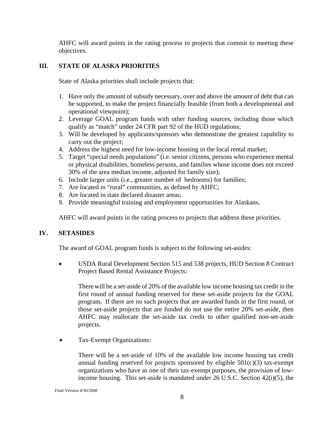<span id="page-7-0"></span>AHFC will award points in the rating process to projects that commit to meeting these objectives.

# **III. STATE OF ALASKA PRIORITIES**

State of Alaska priorities shall include projects that:

- 1. Have only the amount of subsidy necessary, over and above the amount of debt that can be supported, to make the project financially feasible (from both a developmental and operational viewpoint);
- 2. Leverage GOAL program funds with other funding sources, including those which qualify as "match" under 24 CFR part 92 of the HUD regulations;
- 3. Will be developed by applicants/sponsors who demonstrate the greatest capability to carry out the project;
- 4. Address the highest need for low-income housing in the local rental market;
- 5. Target "special needs populations" (i.e. senior citizens, persons who experience mental or physical disabilities, homeless persons, and families whose income does not exceed 30% of the area median income, adjusted for family size);
- 6. Include larger units (i.e., greater number of bedrooms) for families;
- 7. Are located in "rural" communities, as defined by AHFC;
- 8. Are located in state declared disaster areas;
- 9. Provide meaningful training and employment opportunities for Alaskans.

AHFC will award points in the rating process to projects that address these priorities.

# **IV. SETASIDES**

The award of GOAL program funds is subject to the following set-asides:

• USDA Rural Development Section 515 and 538 projects, HUD Section 8 Contract Project Based Rental Assistance Projects:

There will be a set-aside of 20% of the available low income housing tax credit in the first round of annual funding reserved for these set-aside projects for the GOAL program. If there are no such projects that are awarded funds in the first round, or those set-aside projects that are funded do not use the entire 20% set-aside, then AHFC may reallocate the set-aside tax credit to other qualified non-set-aside projects.

•Tax-Exempt Organizations:

> There will be a set-aside of 10% of the available low income housing tax credit annual funding reserved for projects sponsored by eligible  $501(c)(3)$  tax-exempt organizations who have as one of their tax-exempt purposes, the provision of lowincome housing. This set-aside is mandated under 26 U.S.C. Section 42(i)(5), the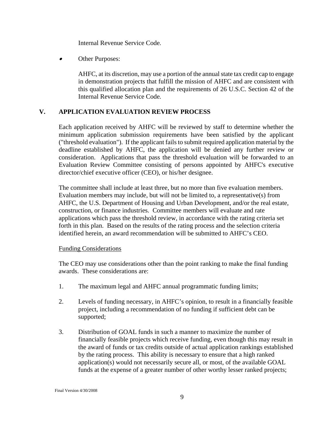Internal Revenue Service Code*.*

<span id="page-8-0"></span>•Other Purposes:

> AHFC, at its discretion, may use a portion of the annual state tax credit cap to engage in demonstration projects that fulfill the mission of AHFC and are consistent with this qualified allocation plan and the requirements of 26 U.S.C. Section 42 of the Internal Revenue Service Code*.*

#### **V. APPLICATION EVALUATION REVIEW PROCESS**

Each application received by AHFC will be reviewed by staff to determine whether the minimum application submission requirements have been satisfied by the applicant ("threshold evaluation"). If the applicant fails to submit required application material by the deadline established by AHFC, the application will be denied any further review or consideration. Applications that pass the threshold evaluation will be forwarded to an Evaluation Review Committee consisting of persons appointed by AHFC's executive director/chief executive officer (CEO), or his/her designee.

The committee shall include at least three, but no more than five evaluation members. Evaluation members may include, but will not be limited to, a representative(s) from AHFC, the U.S. Department of Housing and Urban Development, and/or the real estate, construction, or finance industries. Committee members will evaluate and rate applications which pass the threshold review, in accordance with the rating criteria set forth in this plan. Based on the results of the rating process and the selection criteria identified herein, an award recommendation will be submitted to AHFC's CEO.

#### Funding Considerations

The CEO may use considerations other than the point ranking to make the final funding awards. These considerations are:

- 1. The maximum legal and AHFC annual programmatic funding limits;
- 2. Levels of funding necessary, in AHFC's opinion, to result in a financially feasible project, including a recommendation of no funding if sufficient debt can be supported;
- 3. Distribution of GOAL funds in such a manner to maximize the number of financially feasible projects which receive funding, even though this may result in the award of funds or tax credits outside of actual application rankings established by the rating process. This ability is necessary to ensure that a high ranked application(s) would not necessarily secure all, or most, of the available GOAL funds at the expense of a greater number of other worthy lesser ranked projects;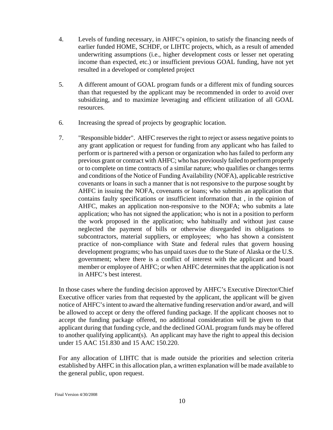- 4. Levels of funding necessary, in AHFC's opinion, to satisfy the financing needs of earlier funded HOME, SCHDF, or LIHTC projects, which, as a result of amended underwriting assumptions (i.e., higher development costs or lesser net operating income than expected, etc.) or insufficient previous GOAL funding, have not yet resulted in a developed or completed project
- 5. A different amount of GOAL program funds or a different mix of funding sources than that requested by the applicant may be recommended in order to avoid over subsidizing, and to maximize leveraging and efficient utilization of all GOAL resources.
- 6. Increasing the spread of projects by geographic location.
- 7. "Responsible bidder". AHFC reserves the right to reject or assess negative points to any grant application or request for funding from any applicant who has failed to perform or is partnered with a person or organization who has failed to perform any previous grant or contract with AHFC; who has previously failed to perform properly or to complete on time contracts of a similar nature; who qualifies or changes terms and conditions of the Notice of Funding Availability (NOFA), applicable restrictive covenants or loans in such a manner that is not responsive to the purpose sought by AHFC in issuing the NOFA, covenants or loans; who submits an application that contains faulty specifications or insufficient information that , in the opinion of AHFC, makes an application non-responsive to the NOFA; who submits a late application; who has not signed the application; who is not in a position to perform the work proposed in the application; who habitually and without just cause neglected the payment of bills or otherwise disregarded its obligations to subcontractors, material suppliers, or employees; who has shown a consistent practice of non-compliance with State and federal rules that govern housing development programs; who has unpaid taxes due to the State of Alaska or the U.S. government; where there is a conflict of interest with the applicant and board member or employee of AHFC; or when AHFC determines that the application is not in AHFC's best interest.

In those cases where the funding decision approved by AHFC's Executive Director/Chief Executive officer varies from that requested by the applicant, the applicant will be given notice of AHFC's intent to award the alternative funding reservation and/or award, and will be allowed to accept or deny the offered funding package. If the applicant chooses not to accept the funding package offered, no additional consideration will be given to that applicant during that funding cycle, and the declined GOAL program funds may be offered to another qualifying applicant(s). An applicant may have the right to appeal this decision under 15 AAC 151.830 and 15 AAC 150.220.

For any allocation of LIHTC that is made outside the priorities and selection criteria established by AHFC in this allocation plan, a written explanation will be made available to the general public, upon request.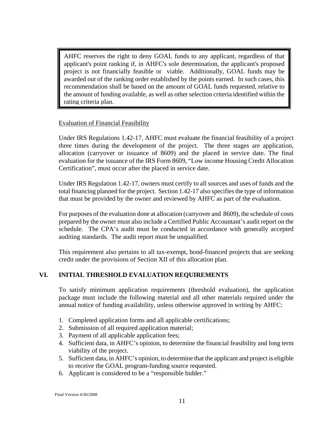<span id="page-10-0"></span>AHFC reserves the right to deny GOAL funds to any applicant, regardless of that applicant's point ranking if, in AHFC's sole determination, the applicant's proposed project is not financially feasible or viable. Additionally, GOAL funds may be awarded out of the ranking order established by the points earned. In such cases, this recommendation shall be based on the amount of GOAL funds requested, relative to the amount of funding available, as well as other selection criteria identified within the rating criteria plan.

#### Evaluation of Financial Feasibility

Under IRS Regulations 1.42-17, AHFC must evaluate the financial feasibility of a project three times during the development of the project. The three stages are application, allocation (carryover or issuance of 8609) and the placed in service date. The final evaluation for the issuance of the IRS Form 8609, "Low income Housing Credit Allocation Certification", must occur after the placed in service date.

Under IRS Regulation 1.42-17, owners must certify to all sources and uses of funds and the total financing planned for the project. Section 1.42-17 also specifies the type of information that must be provided by the owner and reviewed by AHFC as part of the evaluation.

For purposes of the evaluation done at allocation (carryover and 8609), the schedule of costs prepared by the owner must also include a Certified Public Accountant's audit report on the schedule. The CPA's audit must be conducted in accordance with generally accepted auditing standards. The audit report must be unqualified.

This requirement also pertains to all tax-exempt, bond-financed projects that are seeking credit under the provisions of Section XII of this allocation plan.

# **VI. INITIAL THRESHOLD EVALUATION REQUIREMENTS**

To satisfy minimum application requirements (threshold evaluation), the application package must include the following material and all other materials required under the annual notice of funding availability, unless otherwise approved in writing by AHFC:

- 1. Completed application forms and all applicable certifications;
- 2. Submission of all required application material;
- 3. Payment of all applicable application fees;
- 4. Sufficient data, in AHFC's opinion, to determine the financial feasibility and long term viability of the project.
- 5. Sufficient data, in AHFC's opinion, to determine that the applicant and project is eligible to receive the GOAL program-funding source requested.
- 6. Applicant is considered to be a "responsible bidder."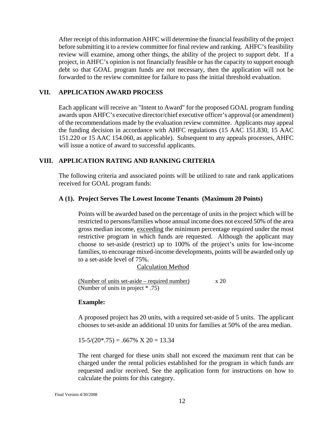<span id="page-11-0"></span>After receipt of this information AHFC will determine the financial feasibility of the project before submitting it to a review committee for final review and ranking. AHFC's feasibility review will examine, among other things, the ability of the project to support debt. If a project, in AHFC's opinion is not financially feasible or has the capacity to support enough debt so that GOAL program funds are not necessary, then the application will not be forwarded to the review committee for failure to pass the initial threshold evaluation.

#### **VII. APPLICATION AWARD PROCESS**

Each applicant will receive an "Intent to Award" for the proposed GOAL program funding awards upon AHFC's executive director/chief executive officer's approval (or amendment) of the recommendations made by the evaluation review committee. Applicants may appeal the funding decision in accordance with AHFC regulations (15 AAC 151.830, 15 AAC 151.220 or 15 AAC 154.060, as applicable). Subsequent to any appeals processes, AHFC will issue a notice of award to successful applicants.

# **VIII. APPLICATION RATING AND RANKING CRITERIA**

The following criteria and associated points will be utilized to rate and rank applications received for GOAL program funds:

#### **A (1). Project Serves The Lowest Income Tenants (Maximum 20 Points)**

Points will be awarded based on the percentage of units in the project which will be restricted to persons/families whose annual income does not exceed 50% of the area gross median income, exceeding the minimum percentage required under the most restrictive program in which funds are requested. Although the applicant may choose to set-aside (restrict) up to 100% of the project's units for low-income families, to encourage mixed-income developments, points will be awarded only up to a set-aside level of 75%.

#### Calculation Method

(Number of units set-aside – required number)  $x 20$ (Number of units in project \* .75)

#### **Example:**

A proposed project has 20 units, with a required set-aside of 5 units. The applicant chooses to set-aside an additional 10 units for families at 50% of the area median.

 $15-5/(20*.75) = .667\% \times 20 = 13.34$ 

The rent charged for these units shall not exceed the maximum rent that can be charged under the rental policies established for the program in which funds are requested and/or received. See the application form for instructions on how to calculate the points for this category.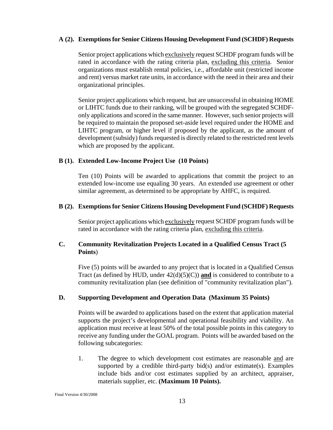#### <span id="page-12-0"></span>**A (2). Exemptions for Senior Citizens Housing Development Fund (SCHDF) Requests**

 Senior project applications which exclusively request SCHDF program funds will be rated in accordance with the rating criteria plan, excluding this criteria. Senior organizations must establish rental policies, i.e., affordable unit (restricted income and rent) versus market rate units, in accordance with the need in their area and their organizational principles.

Senior project applications which request, but are unsuccessful in obtaining HOME or LIHTC funds due to their ranking, will be grouped with the segregated SCHDFonly applications and scored in the same manner. However, such senior projects will be required to maintain the proposed set-aside level required under the HOME and LIHTC program, or higher level if proposed by the applicant, as the amount of development (subsidy) funds requested is directly related to the restricted rent levels which are proposed by the applicant.

# **B (1). Extended Low-Income Project Use (10 Points)**

Ten (10) Points will be awarded to applications that commit the project to an extended low-income use equaling 30 years. An extended use agreement or other similar agreement, as determined to be appropriate by AHFC, is required.

#### **B (2). Exemptions for Senior Citizens Housing Development Fund (SCHDF) Requests**

Senior project applications which exclusively request SCHDF program funds will be rated in accordance with the rating criteria plan, excluding this criteria.

# **C. Community Revitalization Projects Located in a Qualified Census Tract (5 Points**)

Five (5) points will be awarded to any project that is located in a Qualified Census Tract (as defined by HUD, under  $42(d)(5)(C)$ ) and is considered to contribute to a community revitalization plan (see definition of "community revitalization plan").

# **D. Supporting Development and Operation Data (Maximum 35 Points)**

Points will be awarded to applications based on the extent that application material supports the project's developmental and operational feasibility and viability. An application must receive at least 50% of the total possible points in this category to receive any funding under the GOAL program. Points will be awarded based on the following subcategories:

1. The degree to which development cost estimates are reasonable and are supported by a credible third-party bid $(s)$  and/or estimate $(s)$ . Examples include bids and/or cost estimates supplied by an architect, appraiser, materials supplier, etc. **(Maximum 10 Points).**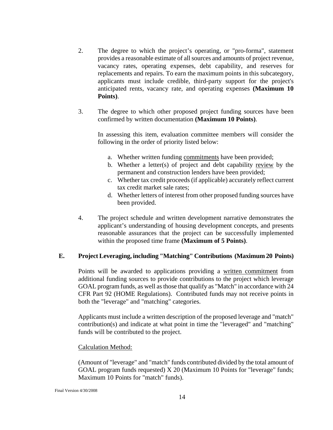- <span id="page-13-0"></span>2. The degree to which the project's operating, or "pro-forma", statement provides a reasonable estimate of all sources and amounts of project revenue, vacancy rates, operating expenses, debt capability, and reserves for replacements and repairs. To earn the maximum points in this subcategory, applicants must include credible, third-party support for the project's anticipated rents, vacancy rate, and operating expenses **(Maximum 10 Points)**.
- 3. The degree to which other proposed project funding sources have been confirmed by written documentation **(Maximum 10 Points)**.

In assessing this item, evaluation committee members will consider the following in the order of priority listed below:

- a. Whether written funding commitments have been provided;
- b. Whether a letter(s) of project and debt capability review by the permanent and construction lenders have been provided;
- c. Whether tax credit proceeds (if applicable) accurately reflect current tax credit market sale rates;
- d. Whether letters of interest from other proposed funding sources have been provided.
- 4. The project schedule and written development narrative demonstrates the applicant's understanding of housing development concepts, and presents reasonable assurances that the project can be successfully implemented within the proposed time frame **(Maximum of 5 Points)**.

#### **E. Project Leveraging, including "Matching" Contributions (Maximum 20 Points)**

Points will be awarded to applications providing a written commitment from additional funding sources to provide contributions to the project which leverage GOAL program funds, as well as those that qualify as "Match" in accordance with 24 CFR Part 92 (HOME Regulations). Contributed funds may not receive points in both the "leverage" and "matching" categories.

Applicants must include a written description of the proposed leverage and "match" contribution(s) and indicate at what point in time the "leveraged" and "matching" funds will be contributed to the project.

#### Calculation Method:

(Amount of "leverage" and "match" funds contributed divided by the total amount of GOAL program funds requested) X 20 (Maximum 10 Points for "leverage" funds; Maximum 10 Points for "match" funds).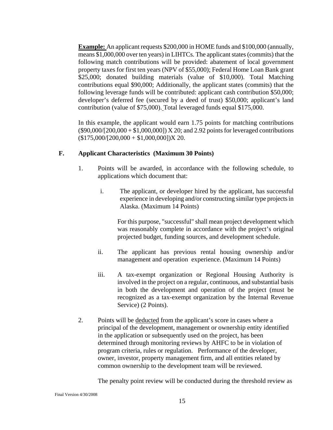<span id="page-14-0"></span>**Example:** An applicant requests \$200,000 in HOME funds and \$100,000 (annually, means \$1,000,000 over ten years) in LIHTCs. The applicant states (commits) that the following match contributions will be provided: abatement of local government property taxes for first ten years (NPV of \$55,000); Federal Home Loan Bank grant \$25,000; donated building materials (value of \$10,000). Total Matching contributions equal \$90,000; Additionally, the applicant states (commits) that the following leverage funds will be contributed: applicant cash contribution \$50,000; developer's deferred fee (secured by a deed of trust) \$50,000; applicant's land contribution (value of \$75,000). Total leveraged funds equal \$175,000.

In this example, the applicant would earn 1.75 points for matching contributions  $(\$90,000/[200,000 + $1,000,000]$   $X 20$ ; and 2.92 points for leveraged contributions  $($175,000/[200,000 + $1,000,000])X 20.$ 

#### **F. Applicant Characteristics (Maximum 30 Points)**

- 1. Points will be awarded, in accordance with the following schedule, to applications which document that:
	- i. The applicant, or developer hired by the applicant, has successful experience in developing and/or constructing similar type projects in Alaska. (Maximum 14 Points)

For this purpose, "successful" shall mean project development which was reasonably complete in accordance with the project's original projected budget, funding sources, and development schedule.

- ii. The applicant has previous rental housing ownership and/or management and operation experience. (Maximum 14 Points)
- iii. A tax-exempt organization or Regional Housing Authority is involved in the project on a regular, continuous, and substantial basis in both the development and operation of the project (must be recognized as a tax-exempt organization by the Internal Revenue Service) (2 Points).
- 2. Points will be deducted from the applicant's score in cases where a principal of the development, management or ownership entity identified in the application or subsequently used on the project, has been determined through monitoring reviews by AHFC to be in violation of program criteria, rules or regulation. Performance of the developer, owner, investor, property management firm, and all entities related by common ownership to the development team will be reviewed.

The penalty point review will be conducted during the threshold review as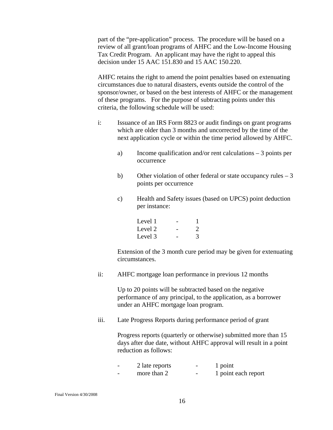part of the "pre-application" process. The procedure will be based on a review of all grant/loan programs of AHFC and the Low-Income Housing Tax Credit Program. An applicant may have the right to appeal this decision under 15 AAC 151.830 and 15 AAC 150.220.

AHFC retains the right to amend the point penalties based on extenuating circumstances due to natural disasters, events outside the control of the sponsor/owner, or based on the best interests of AHFC or the management of these programs. For the purpose of subtracting points under this criteria, the following schedule will be used:

- i: Issuance of an IRS Form 8823 or audit findings on grant programs which are older than 3 months and uncorrected by the time of the next application cycle or within the time period allowed by AHFC.
	- a) Income qualification and/or rent calculations 3 points per occurrence
	- b) Other violation of other federal or state occupancy rules 3 points per occurrence
	- c) Health and Safety issues (based on UPCS) point deduction per instance:

| Level 1 | $\overline{\phantom{a}}$ |  |
|---------|--------------------------|--|
| Level 2 | $\sim$                   |  |
| Level 3 | $\overline{\phantom{a}}$ |  |

Extension of the 3 month cure period may be given for extenuating circumstances.

ii: AHFC mortgage loan performance in previous 12 months

 Up to 20 points will be subtracted based on the negative performance of any principal, to the application, as a borrower under an AHFC mortgage loan program.

iii. Late Progress Reports during performance period of grant

Progress reports (quarterly or otherwise) submitted more than 15 days after due date, without AHFC approval will result in a point reduction as follows:

| $\overline{\phantom{0}}$ | 2 late reports | $\overline{\phantom{0}}$ | 1 point             |
|--------------------------|----------------|--------------------------|---------------------|
| $\overline{\phantom{0}}$ | more than 2    | $\overline{\phantom{0}}$ | 1 point each report |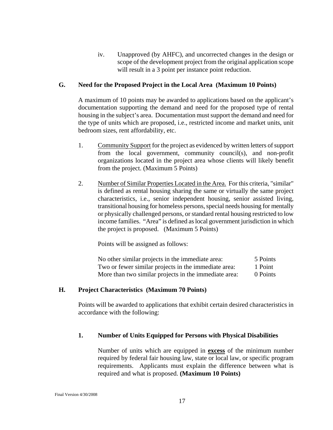iv. Unapproved (by AHFC), and uncorrected changes in the design or scope of the development project from the original application scope will result in a 3 point per instance point reduction.

#### <span id="page-16-0"></span>**G. Need for the Proposed Project in the Local Area (Maximum 10 Points)**

A maximum of 10 points may be awarded to applications based on the applicant's documentation supporting the demand and need for the proposed type of rental housing in the subject's area. Documentation must support the demand and need for the type of units which are proposed, i.e., restricted income and market units, unit bedroom sizes, rent affordability, etc.

- 1. Community Support for the project as evidenced by written letters of support from the local government, community council(s), and non-profit organizations located in the project area whose clients will likely benefit from the project. (Maximum 5 Points)
- 2. Number of Similar Properties Located in the Area. For this criteria, "similar" is defined as rental housing sharing the same or virtually the same project characteristics, i.e., senior independent housing, senior assisted living, transitional housing for homeless persons, special needs housing for mentally or physically challenged persons, or standard rental housing restricted to low income families. "Area" is defined as local government jurisdiction in which the project is proposed. (Maximum 5 Points)

Points will be assigned as follows:

| No other similar projects in the immediate area:      | 5 Points |
|-------------------------------------------------------|----------|
| Two or fewer similar projects in the immediate area:  | 1 Point  |
| More than two similar projects in the immediate area: | 0 Points |

#### **H. Project Characteristics (Maximum 70 Points)**

Points will be awarded to applications that exhibit certain desired characteristics in accordance with the following:

#### **1. Number of Units Equipped for Persons with Physical Disabilities**

Number of units which are equipped in **excess** of the minimum number required by federal fair housing law, state or local law, or specific program requirements. Applicants must explain the difference between what is required and what is proposed. **(Maximum 10 Points)**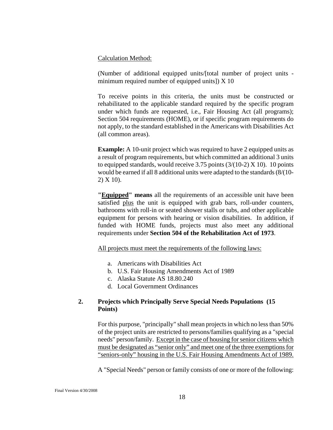#### <span id="page-17-0"></span>Calculation Method:

(Number of additional equipped units/[total number of project units minimum required number of equipped units]) X 10

 To receive points in this criteria, the units must be constructed or rehabilitated to the applicable standard required by the specific program under which funds are requested, i.e., Fair Housing Act (all programs); Section 504 requirements (HOME), or if specific program requirements do not apply, to the standard established in the Americans with Disabilities Act (all common areas).

**Example:** A 10-unit project which was required to have 2 equipped units as a result of program requirements, but which committed an additional 3 units to equipped standards, would receive 3.75 points  $(3/(10-2) X 10)$ . 10 points would be earned if all 8 additional units were adapted to the standards (8/(10- 2) X 10).

**"Equipped" means** all the requirements of an accessible unit have been satisfied plus the unit is equipped with grab bars, roll-under counters, bathrooms with roll-in or seated shower stalls or tubs, and other applicable equipment for persons with hearing or vision disabilities. In addition, if funded with HOME funds, projects must also meet any additional requirements under **Section 504 of the Rehabilitation Act of 1973**.

All projects must meet the requirements of the following laws:

- a. Americans with Disabilities Act
- b. U.S. Fair Housing Amendments Act of 1989
- c. Alaska Statute AS 18.80.240
- d. Local Government Ordinances

#### **2. Projects which Principally Serve Special Needs Populations (15 Points)**

For this purpose, "principally" shall mean projects in which no less than 50% of the project units are restricted to persons/families qualifying as a "special needs" person/family. Except in the case of housing for senior citizens which must be designated as "senior only" and meet one of the three exemptions for "seniors-only" housing in the U.S. Fair Housing Amendments Act of 1989.

A "Special Needs" person or family consists of one or more of the following: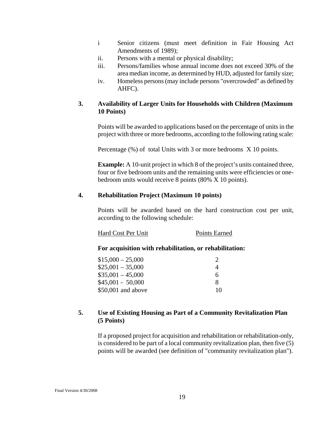- <span id="page-18-0"></span>i Senior citizens (must meet definition in Fair Housing Act Amendments of 1989);
- ii. Persons with a mental or physical disability;
- iii. Persons/families whose annual income does not exceed 30% of the area median income, as determined by HUD, adjusted for family size;
- iv. Homeless persons (may include persons "overcrowded" as defined by AHFC).

#### **3. Availability of Larger Units for Households with Children (Maximum 10 Points)**

Points will be awarded to applications based on the percentage of units in the project with three or more bedrooms, according to the following rating scale:

Percentage (%) of total Units with 3 or more bedrooms X 10 points.

**Example:** A 10-unit project in which 8 of the project's units contained three, four or five bedroom units and the remaining units were efficiencies or onebedroom units would receive 8 points (80% X 10 points).

#### **4. Rehabilitation Project (Maximum 10 points)**

Points will be awarded based on the hard construction cost per unit, according to the following schedule:

#### Hard Cost Per Unit Points Earned

#### **For acquisition with rehabilitation, or rehabilitation:**

| $$15,000 - 25,000$  |    |
|---------------------|----|
| $$25,001 - 35,000$  | 4  |
| $$35,001 - 45,000$  | 6  |
| $$45,001 - 50,000$  | 8  |
| $$50,001$ and above | 10 |

#### **5. Use of Existing Housing as Part of a Community Revitalization Plan (5 Points)**

If a proposed project for acquisition and rehabilitation or rehabilitation-only, is considered to be part of a local community revitalization plan, then five (5) points will be awarded (see definition of "community revitalization plan").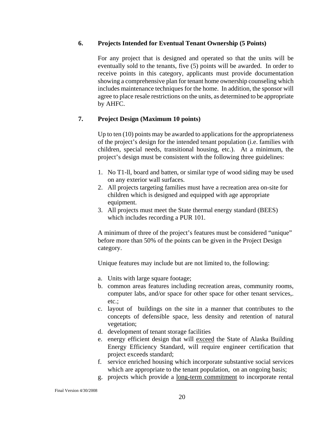#### <span id="page-19-0"></span> **6. Projects Intended for Eventual Tenant Ownership (5 Points)**

For any project that is designed and operated so that the units will be eventually sold to the tenants, five (5) points will be awarded. In order to receive points in this category, applicants must provide documentation showing a comprehensive plan for tenant home ownership counseling which includes maintenance techniques for the home. In addition, the sponsor will agree to place resale restrictions on the units, as determined to be appropriate by AHFC.

# **7. Project Design (Maximum 10 points)**

Up to ten (10) points may be awarded to applications for the appropriateness of the project's design for the intended tenant population (i.e. families with children, special needs, transitional housing, etc.). At a minimum, the project's design must be consistent with the following three guidelines:

- 1. No T1-ll, board and batten, or similar type of wood siding may be used on any exterior wall surfaces.
- 2. All projects targeting families must have a recreation area on-site for children which is designed and equipped with age appropriate equipment.
- 3. All projects must meet the State thermal energy standard (BEES) which includes recording a PUR 101.

A minimum of three of the project's features must be considered "unique" before more than 50% of the points can be given in the Project Design category.

Unique features may include but are not limited to, the following:

- a. Units with large square footage;
- b. common areas features including recreation areas, community rooms, computer labs, and/or space for other space for other tenant services,. etc.;
- c. layout of buildings on the site in a manner that contributes to the concepts of defensible space, less density and retention of natural vegetation;
- d. development of tenant storage facilities
- e. energy efficient design that will exceed the State of Alaska Building Energy Efficiency Standard, will require engineer certification that project exceeds standard;
- f. service enriched housing which incorporate substantive social services which are appropriate to the tenant population, on an ongoing basis;
- g. projects which provide a long-term commitment to incorporate rental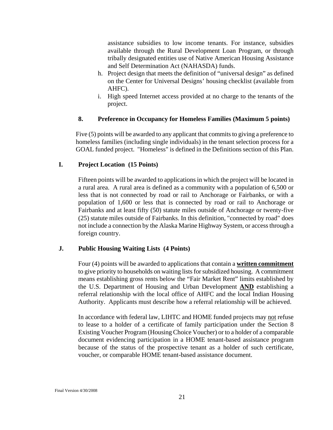<span id="page-20-0"></span>assistance subsidies to low income tenants. For instance, subsidies available through the Rural Development Loan Program, or through tribally designated entities use of Native American Housing Assistance and Self Determination Act (NAHASDA) funds.

- h. Project design that meets the definition of "universal design" as defined on the Center for Universal Designs' housing checklist (available from AHFC).
- i. High speed Internet access provided at no charge to the tenants of the project.

# **8. Preference in Occupancy for Homeless Families (Maximum 5 points)**

Five (5) points will be awarded to any applicant that commits to giving a preference to homeless families (including single individuals) in the tenant selection process for a GOAL funded project. "Homeless" is defined in the Definitions section of this Plan.

#### **I. Project Location (15 Points)**

Fifteen points will be awarded to applications in which the project will be located in a rural area. A rural area is defined as a community with a population of 6,500 or less that is not connected by road or rail to Anchorage or Fairbanks, or with a population of 1,600 or less that is connected by road or rail to Anchorage or Fairbanks and at least fifty (50) statute miles outside of Anchorage or twenty-five (25) statute miles outside of Fairbanks. In this definition, "connected by road" does not include a connection by the Alaska Marine Highway System, or access through a foreign country.

# **J. Public Housing Waiting Lists (4 Points)**

Four (4) points will be awarded to applications that contain a **written commitment** to give priority to households on waiting lists for subsidized housing. A commitment means establishing gross rents below the "Fair Market Rent" limits established by the U.S. Department of Housing and Urban Development **AND** establishing a referral relationship with the local office of AHFC and the local Indian Housing Authority. Applicants must describe how a referral relationship will be achieved.

In accordance with federal law, LIHTC and HOME funded projects may not refuse to lease to a holder of a certificate of family participation under the Section 8 Existing Voucher Program (Housing Choice Voucher) or to a holder of a comparable document evidencing participation in a HOME tenant-based assistance program because of the status of the prospective tenant as a holder of such certificate, voucher, or comparable HOME tenant-based assistance document.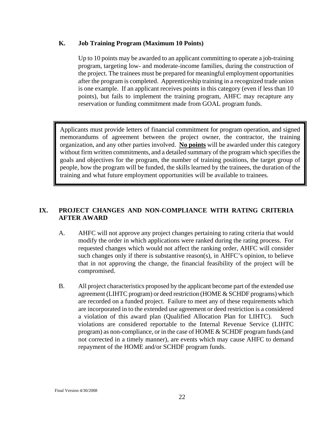#### <span id="page-21-0"></span>**K. Job Training Program (Maximum 10 Points)**

Up to 10 points may be awarded to an applicant committing to operate a job-training program, targeting low- and moderate-income families, during the construction of the project. The trainees must be prepared for meaningful employment opportunities after the program is completed. Apprenticeship training in a recognized trade union is one example. If an applicant receives points in this category (even if less than 10 points), but fails to implement the training program, AHFC may recapture any reservation or funding commitment made from GOAL program funds.

Applicants must provide letters of financial commitment for program operation, and signed memorandums of agreement between the project owner, the contractor, the training organization, and any other parties involved. **No points** will be awarded under this category without firm written commitments, and a detailed summary of the program which specifies the goals and objectives for the program, the number of training positions, the target group of people, how the program will be funded, the skills learned by the trainees, the duration of the training and what future employment opportunities will be available to trainees.

# **IX. PROJECT CHANGES AND NON-COMPLIANCE WITH RATING CRITERIA AFTER AWARD**

- A. AHFC will not approve any project changes pertaining to rating criteria that would modify the order in which applications were ranked during the rating process. For requested changes which would not affect the ranking order, AHFC will consider such changes only if there is substantive reason(s), in AHFC's opinion, to believe that in not approving the change, the financial feasibility of the project will be compromised.
- B. All project characteristics proposed by the applicant become part of the extended use agreement (LIHTC program) or deed restriction (HOME & SCHDF programs) which are recorded on a funded project. Failure to meet any of these requirements which are incorporated in to the extended use agreement or deed restriction is a considered a violation of this award plan (Qualified Allocation Plan for LIHTC). Such violations are considered reportable to the Internal Revenue Service (LIHTC program) as non-compliance, or in the case of HOME & SCHDF program funds (and not corrected in a timely manner), are events which may cause AHFC to demand repayment of the HOME and/or SCHDF program funds.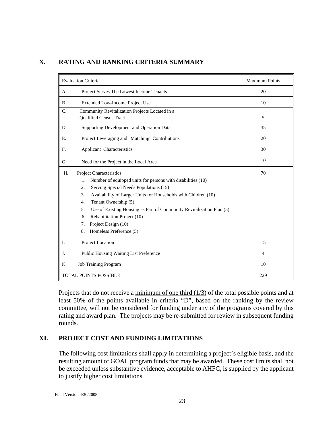| <b>Evaluation Criteria</b> |                                                                                                                                                                                                                                                                                                                                                                                                                                      | <b>Maximum Points</b> |
|----------------------------|--------------------------------------------------------------------------------------------------------------------------------------------------------------------------------------------------------------------------------------------------------------------------------------------------------------------------------------------------------------------------------------------------------------------------------------|-----------------------|
| А.                         | Project Serves The Lowest Income Tenants                                                                                                                                                                                                                                                                                                                                                                                             | 20                    |
| <b>B.</b>                  | Extended Low-Income Project Use                                                                                                                                                                                                                                                                                                                                                                                                      | 10                    |
| C.                         | Community Revitalization Projects Located in a<br><b>Qualified Census Tract</b>                                                                                                                                                                                                                                                                                                                                                      | 5                     |
| D.                         | Supporting Development and Operation Data                                                                                                                                                                                                                                                                                                                                                                                            | 35                    |
| Ε.                         | Project Leveraging and "Matching" Contributions                                                                                                                                                                                                                                                                                                                                                                                      | 20                    |
| F.                         | Applicant Characteristics                                                                                                                                                                                                                                                                                                                                                                                                            | 30                    |
| G.                         | Need for the Project in the Local Area                                                                                                                                                                                                                                                                                                                                                                                               | 10                    |
| H.                         | Project Characteristics:<br>Number of equipped units for persons with disabilities (10)<br>1.<br>Serving Special Needs Populations (15)<br>2.<br>Availability of Larger Units for Households with Children (10)<br>3.<br>Tenant Ownership (5)<br>4.<br>Use of Existing Housing as Part of Community Revitalization Plan (5)<br>5.<br>Rehabilitation Project (10)<br>6.<br>Project Design (10)<br>7.<br>Homeless Preference (5)<br>8. | 70                    |
| I.                         | Project Location                                                                                                                                                                                                                                                                                                                                                                                                                     | 15                    |
| J.                         | Public Housing Waiting List Preference                                                                                                                                                                                                                                                                                                                                                                                               | 4                     |
| K.                         | Job Training Program                                                                                                                                                                                                                                                                                                                                                                                                                 | 10                    |
|                            | <b>TOTAL POINTS POSSIBLE</b>                                                                                                                                                                                                                                                                                                                                                                                                         | 229                   |

#### <span id="page-22-0"></span>**X. RATING AND RANKING CRITERIA SUMMARY**

Projects that do not receive a minimum of one third (1/3) of the total possible points and at least 50% of the points available in criteria "D", based on the ranking by the review committee, will not be considered for funding under any of the programs covered by this rating and award plan. The projects may be re-submitted for review in subsequent funding rounds.

# **XI. PROJECT COST AND FUNDING LIMITATIONS**

The following cost limitations shall apply in determining a project's eligible basis, and the resulting amount of GOAL program funds that may be awarded. These cost limits shall not be exceeded unless substantive evidence, acceptable to AHFC, is supplied by the applicant to justify higher cost limitations.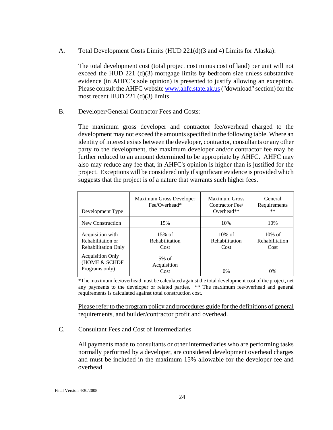<span id="page-23-0"></span>A. Total Development Costs Limits (HUD 221(d)(3 and 4) Limits for Alaska):

The total development cost (total project cost minus cost of land) per unit will not exceed the HUD 221 (d)(3) mortgage limits by bedroom size unless substantive evidence (in AHFC's sole opinion) is presented to justify allowing an exception. Please consult the AHFC website [www.ahfc.state.ak.us](http://www.ahfc.state.ak.us/) ("download" section) for the most recent HUD 221 (d)(3) limits.

B. Developer/General Contractor Fees and Costs:

The maximum gross developer and contractor fee/overhead charged to the development may not exceed the amounts specified in the following table. Where an identity of interest exists between the developer, contractor, consultants or any other party to the development, the maximum developer and/or contractor fee may be further reduced to an amount determined to be appropriate by AHFC. AHFC may also may reduce any fee that, in AHFC's opinion is higher than is justified for the project. Exceptions will be considered only if significant evidence is provided which suggests that the project is of a nature that warrants such higher fees.

| Development Type                                                    | Maximum Gross Developer<br>Fee/Overhead* | <b>Maximum Gross</b><br>Contractor Fee/<br>Overhead** | General<br>Requirements<br>$***$    |
|---------------------------------------------------------------------|------------------------------------------|-------------------------------------------------------|-------------------------------------|
| New Construction                                                    | 15%                                      | 10%                                                   | 10%                                 |
| Acquisition with<br>Rehabilitation or<br><b>Rehabilitation Only</b> | $15\%$ of<br>Rehabilitation<br>Cost      | $10\%$ of<br>Rehabilitation<br>Cost                   | $10\%$ of<br>Rehabilitation<br>Cost |
| <b>Acquisition Only</b><br>(HOME & SCHDF<br>Programs only)          | $5%$ of<br>Acquisition<br>Cost           | 0%                                                    | $0\%$                               |

\*The maximum fee/overhead must be calculated against the total development cost of the project, net any payments to the developer or related parties. \*\* The maximum fee/overhead and general requirements is calculated against total construction cost.

Please refer to the program policy and procedures guide for the definitions of general requirements, and builder/contractor profit and overhead.

# C. Consultant Fees and Cost of Intermediaries

All payments made to consultants or other intermediaries who are performing tasks normally performed by a developer, are considered development overhead charges and must be included in the maximum 15% allowable for the developer fee and overhead.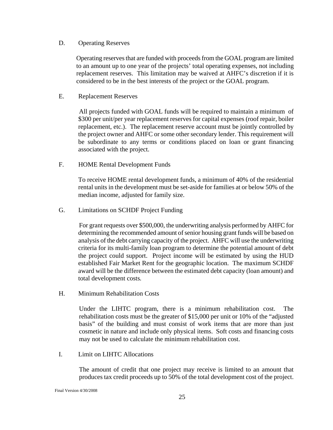#### <span id="page-24-0"></span>D. Operating Reserves

Operating reserves that are funded with proceeds from the GOAL program are limited to an amount up to one year of the projects' total operating expenses, not including replacement reserves. This limitation may be waived at AHFC's discretion if it is considered to be in the best interests of the project or the GOAL program.

#### E. Replacement Reserves

 All projects funded with GOAL funds will be required to maintain a minimum of \$300 per unit/per year replacement reserves for capital expenses (roof repair, boiler replacement, etc.). The replacement reserve account must be jointly controlled by the project owner and AHFC or some other secondary lender. This requirement will be subordinate to any terms or conditions placed on loan or grant financing associated with the project.

F. HOME Rental Development Funds

 To receive HOME rental development funds, a minimum of 40% of the residential rental units in the development must be set-aside for families at or below 50% of the median income, adjusted for family size.

G. Limitations on SCHDF Project Funding

 For grant requests over \$500,000, the underwriting analysis performed by AHFC for determining the recommended amount of senior housing grant funds will be based on analysis of the debt carrying capacity of the project. AHFC will use the underwriting criteria for its multi-family loan program to determine the potential amount of debt the project could support. Project income will be estimated by using the HUD established Fair Market Rent for the geographic location. The maximum SCHDF award will be the difference between the estimated debt capacity (loan amount) and total development costs*.* 

H. Minimum Rehabilitation Costs

Under the LIHTC program, there is a minimum rehabilitation cost. The rehabilitation costs must be the greater of \$15,000 per unit or 10% of the "adjusted basis" of the building and must consist of work items that are more than just cosmetic in nature and include only physical items. Soft costs and financing costs may not be used to calculate the minimum rehabilitation cost.

I. Limit on LIHTC Allocations

The amount of credit that one project may receive is limited to an amount that produces tax credit proceeds up to 50% of the total development cost of the project.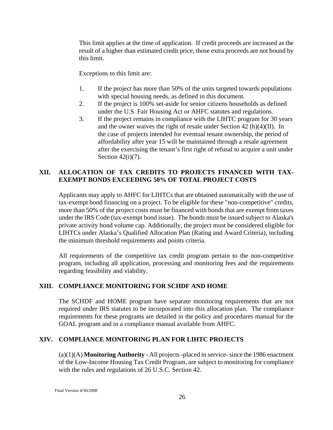<span id="page-25-0"></span>This limit applies at the time of application. If credit proceeds are increased as the result of a higher than estimated credit price, those extra proceeds are not bound by this limit.

Exceptions to this limit are:

- 1. If the project has more than 50% of the units targeted towards populations with special housing needs, as defined in this document.
- 2. If the project is 100% set-aside for senior citizens households as defined under the U.S. Fair Housing Act or AHFC statutes and regulations.
- 3. If the project remains in compliance with the LIHTC program for 30 years and the owner waives the right of resale under Section 42 (h)(4)(II). In the case of projects intended for eventual tenant ownership, the period of affordability after year 15 will be maintained through a resale agreement after the exercising the tenant's first right of refusal to acquire a unit under Section  $42(i)(7)$ .

# **XII. ALLOCATION OF TAX CREDITS TO PROJECTS FINANCED WITH TAX-EXEMPT BONDS EXCEEDING 50% OF TOTAL PROJECT COSTS**

Applicants may apply to AHFC for LIHTCs that are obtained automatically with the use of tax-exempt bond financing on a project. To be eligible for these "non-competitive" credits, more than 50% of the project costs must be financed with bonds that are exempt from taxes under the IRS Code (tax-exempt bond issue). The bonds must be issued subject to Alaska's private activity bond volume cap. Additionally, the project must be considered eligible for LIHTCs under Alaska's Qualified Allocation Plan (Rating and Award Criteria), including the minimum threshold requirements and points criteria.

All requirements of the competitive tax credit program pertain to the non-competitive program, including all application, processing and monitoring fees and the requirements regarding feasibility and viability.

# **XIII. COMPLIANCE MONITORING FOR SCHDF AND HOME**

The SCHDF and HOME program have separate monitoring requirements that are not required under IRS statutes to be incorporated into this allocation plan. The compliance requirements for these programs are detailed in the policy and procedures manual for the GOAL program and in a compliance manual available from AHFC.

# **XIV. COMPLIANCE MONITORING PLAN FOR LIHTC PROJECTS**

(a)(1)(A) **Monitoring Authority** - All projects -placed in service- since the 1986 enactment of the Low-Income Housing Tax Credit Program, are subject to monitoring for compliance with the rules and regulations of 26 U.S.C. Section 42.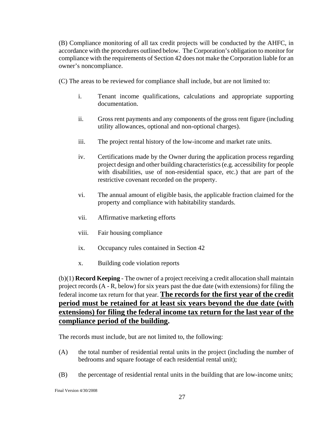(B) Compliance monitoring of all tax credit projects will be conducted by the AHFC, in accordance with the procedures outlined below. The Corporation's obligation to monitor for compliance with the requirements of Section 42 does not make the Corporation liable for an owner's noncompliance.

(C) The areas to be reviewed for compliance shall include, but are not limited to:

- i. Tenant income qualifications, calculations and appropriate supporting documentation.
- ii. Gross rent payments and any components of the gross rent figure (including utility allowances, optional and non-optional charges).
- iii. The project rental history of the low-income and market rate units.
- iv. Certifications made by the Owner during the application process regarding project design and other building characteristics (e.g. accessibility for people with disabilities, use of non-residential space, etc.) that are part of the restrictive covenant recorded on the property.
- vi. The annual amount of eligible basis, the applicable fraction claimed for the property and compliance with habitability standards.
- vii. Affirmative marketing efforts
- viii. Fair housing compliance
- ix. Occupancy rules contained in Section 42
- x. Building code violation reports

(b)(1) **Record Keeping** - The owner of a project receiving a credit allocation shall maintain project records (A - R, below) for six years past the due date (with extensions) for filing the federal income tax return for that year. **The records for the first year of the credit period must be retained for at least six years beyond the due date (with extensions) for filing the federal income tax return for the last year of the compliance period of the building.**

The records must include, but are not limited to, the following:

- (A) the total number of residential rental units in the project (including the number of bedrooms and square footage of each residential rental unit);
- (B) the percentage of residential rental units in the building that are low-income units;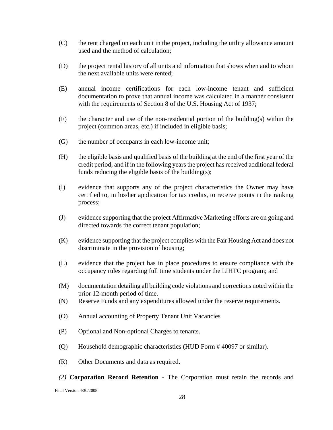- (C) the rent charged on each unit in the project, including the utility allowance amount used and the method of calculation;
- (D) the project rental history of all units and information that shows when and to whom the next available units were rented;
- (E) annual income certifications for each low-income tenant and sufficient documentation to prove that annual income was calculated in a manner consistent with the requirements of Section 8 of the U.S. Housing Act of 1937;
- $(F)$  the character and use of the non-residential portion of the building(s) within the project (common areas, etc.) if included in eligible basis;
- (G) the number of occupants in each low-income unit;
- (H) the eligible basis and qualified basis of the building at the end of the first year of the credit period; and if in the following years the project has received additional federal funds reducing the eligible basis of the building(s);
- (I) evidence that supports any of the project characteristics the Owner may have certified to, in his/her application for tax credits, to receive points in the ranking process;
- (J) evidence supporting that the project Affirmative Marketing efforts are on going and directed towards the correct tenant population;
- (K) evidence supporting that the project complies with the Fair Housing Act and does not discriminate in the provision of housing;
- (L) evidence that the project has in place procedures to ensure compliance with the occupancy rules regarding full time students under the LIHTC program; and
- (M) documentation detailing all building code violations and corrections noted within the prior 12-month period of time.
- (N) Reserve Funds and any expenditures allowed under the reserve requirements.
- (O) Annual accounting of Property Tenant Unit Vacancies
- (P) Optional and Non-optional Charges to tenants.
- (Q) Household demographic characteristics (HUD Form # 40097 or similar).
- (R) Other Documents and data as required.
- *(2)* **Corporation Record Retention** The Corporation must retain the records and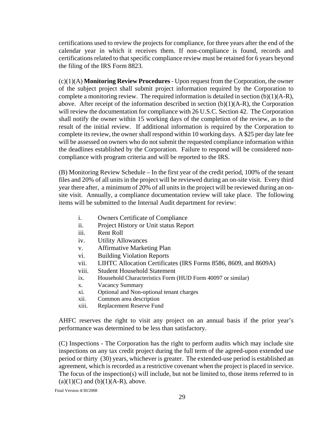certifications used to review the projects for compliance, for three years after the end of the calendar year in which it receives them. If non-compliance is found, records and certifications related to that specific compliance review must be retained for 6 years beyond the filing of the IRS Form 8823.

(c)(1)(A) **Monitoring Review Procedures** - Upon request from the Corporation, the owner of the subject project shall submit project information required by the Corporation to complete a monitoring review. The required information is detailed in section (b)(1)(A-R), above. After receipt of the information described in section  $(b)(1)(A-R)$ , the Corporation will review the documentation for compliance with 26 U.S.C. Section 42. The Corporation shall notify the owner within 15 working days of the completion of the review, as to the result of the initial review. If additional information is required by the Corporation to complete its review, the owner shall respond within 10 working days. A \$25 per day late fee will be assessed on owners who do not submit the requested compliance information within the deadlines established by the Corporation. Failure to respond will be considered noncompliance with program criteria and will be reported to the IRS.

(B) Monitoring Review Schedule – In the first year of the credit period, 100% of the tenant files and 20% of all units in the project will be reviewed during an on-site visit. Every third year there after, a minimum of 20% of all units in the project will be reviewed during an onsite visit. Annually, a compliance documentation review will take place. The following items will be submitted to the Internal Audit department for review:

- i. Owners Certificate of Compliance
- ii. Project History or Unit status Report
- iii. Rent Roll
- iv. Utility Allowances
- v. Affirmative Marketing Plan
- vi. Building Violation Reports
- vii. LIHTC Allocation Certificates (IRS Forms 8586, 8609, and 8609A)
- viii. Student Household Statement
- ix. Household Characteristics Form (HUD Form 40097 or similar)
- x. Vacancy Summary
- xi. Optional and Non-optional tenant charges
- xii. Common area description
- xiii. Replacement Reserve Fund

AHFC reserves the right to visit any project on an annual basis if the prior year's performance was determined to be less than satisfactory.

(C) Inspections - The Corporation has the right to perform audits which may include site inspections on any tax credit project during the full term of the agreed-upon extended use period or thirty (30) years, whichever is greater. The extended-use period is established an agreement, which is recorded as a restrictive covenant when the project is placed in service. The focus of the inspection(s) will include, but not be limited to, those items referred to in  $(a)(1)(C)$  and  $(b)(1)(A-R)$ , above.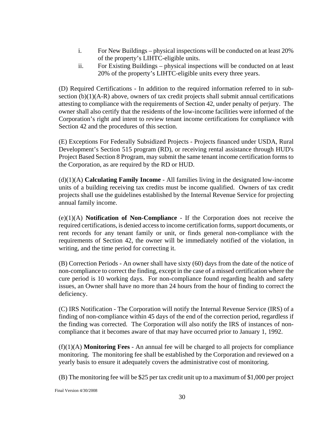- i. For New Buildings physical inspections will be conducted on at least 20% of the property's LIHTC-eligible units.
- ii. For Existing Buildings physical inspections will be conducted on at least 20% of the property's LIHTC-eligible units every three years.

(D) Required Certifications - In addition to the required information referred to in subsection (b)(1)(A-R) above, owners of tax credit projects shall submit annual certifications attesting to compliance with the requirements of Section 42, under penalty of perjury. The owner shall also certify that the residents of the low-income facilities were informed of the Corporation's right and intent to review tenant income certifications for compliance with Section 42 and the procedures of this section.

(E) Exceptions For Federally Subsidized Projects *-* Projects financed under USDA, Rural Development's Section 515 program (RD), or receiving rental assistance through HUD's Project Based Section 8 Program, may submit the same tenant income certification forms to the Corporation, as are required by the RD or HUD.

(d)(1)(A) **Calculating Family Income** - All families living in the designated low-income units of a building receiving tax credits must be income qualified. Owners of tax credit projects shall use the guidelines established by the Internal Revenue Service for projecting annual family income.

(e)(1)(A) **Notification of Non-Compliance** - If the Corporation does not receive the required certifications, is denied access to income certification forms, support documents, or rent records for any tenant family or unit, or finds general non-compliance with the requirements of Section 42, the owner will be immediately notified of the violation, in writing, and the time period for correcting it.

(B) Correction Periods - An owner shall have sixty (60) days from the date of the notice of non-compliance to correct the finding, except in the case of a missed certification where the cure period is 10 working days. For non-compliance found regarding health and safety issues, an Owner shall have no more than 24 hours from the hour of finding to correct the deficiency.

(C) IRS Notification - The Corporation will notify the Internal Revenue Service (IRS) of a finding of non-compliance within 45 days of the end of the correction period, regardless if the finding was corrected. The Corporation will also notify the IRS of instances of noncompliance that it becomes aware of that may have occurred prior to January 1, 1992.

(f)(1)(A) **Monitoring Fees** - An annual fee will be charged to all projects for compliance monitoring. The monitoring fee shall be established by the Corporation and reviewed on a yearly basis to ensure it adequately covers the administrative cost of monitoring.

(B) The monitoring fee will be \$25 per tax credit unit up to a maximum of \$1,000 per project